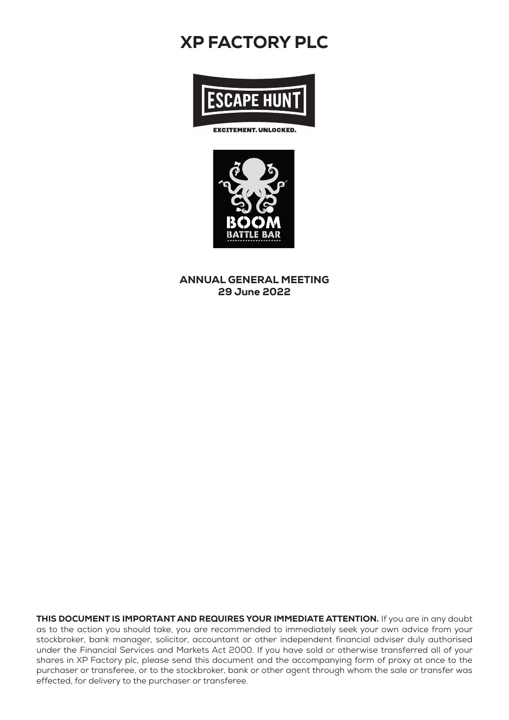# XP FACTORY PLC



**EXCITEMENT, UNLOCKED.** 



ANNUAL GENERAL MEETING 29 June 2022

THIS DOCUMENT IS IMPORTANT AND REQUIRES YOUR IMMEDIATE ATTENTION. If you are in any doubt as to the action you should take, you are recommended to immediately seek your own advice from your stockbroker, bank manager, solicitor, accountant or other independent financial adviser duly authorised under the Financial Services and Markets Act 2000. If you have sold or otherwise transferred all of your shares in XP Factory plc, please send this document and the accompanying form of proxy at once to the purchaser or transferee, or to the stockbroker, bank or other agent through whom the sale or transfer was effected, for delivery to the purchaser or transferee.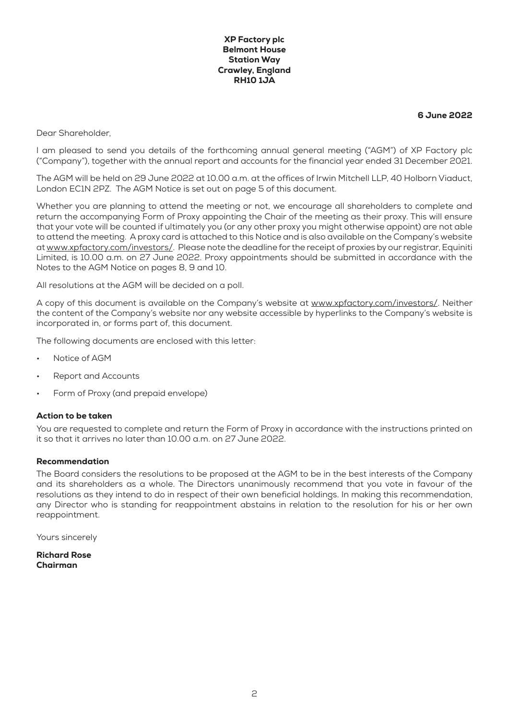#### 6 June 2022

Dear Shareholder,

I am pleased to send you details of the forthcoming annual general meeting ("AGM") of XP Factory plc ("Company"), together with the annual report and accounts for the financial year ended 31 December 2021.

The AGM will be held on 29 June 2022 at 10.00 a.m. at the offices of Irwin Mitchell LLP, 40 Holborn Viaduct, London EC1N 2PZ. The AGM Notice is set out on page 5 of this document.

Whether you are planning to attend the meeting or not, we encourage all shareholders to complete and return the accompanying Form of Proxy appointing the Chair of the meeting as their proxy. This will ensure that your vote will be counted if ultimately you (or any other proxy you might otherwise appoint) are not able to attend the meeting. A proxy card is attached to this Notice and is also available on the Company's website at [www.xpfactory.com/investors/](http://www.escapehunt.com/investors/). Please note the deadline for the receipt of proxies by our registrar, Equiniti Limited, is 10.00 a.m. on 27 June 2022. Proxy appointments should be submitted in accordance with the Notes to the AGM Notice on pages 8, 9 and 10.

All resolutions at the AGM will be decided on a poll.

A copy of this document is available on the Company's website at [www.xpfactory.com/investors/](mailto:graham.bird@escapehunt.com). Neither the content of the Company's website nor any website accessible by hyperlinks to the Company's website is incorporated in, or forms part of, this document.

The following documents are enclosed with this letter:

- Notice of AGM
- Report and Accounts
- Form of Proxy (and prepaid envelope)

#### Action to be taken

You are requested to complete and return the Form of Proxy in accordance with the instructions printed on it so that it arrives no later than 10.00 a.m. on 27 June 2022.

#### Recommendation

The Board considers the resolutions to be proposed at the AGM to be in the best interests of the Company and its shareholders as a whole. The Directors unanimously recommend that you vote in favour of the resolutions as they intend to do in respect of their own beneficial holdings. In making this recommendation, any Director who is standing for reappointment abstains in relation to the resolution for his or her own reappointment.

Yours sincerely

Richard Rose Chairman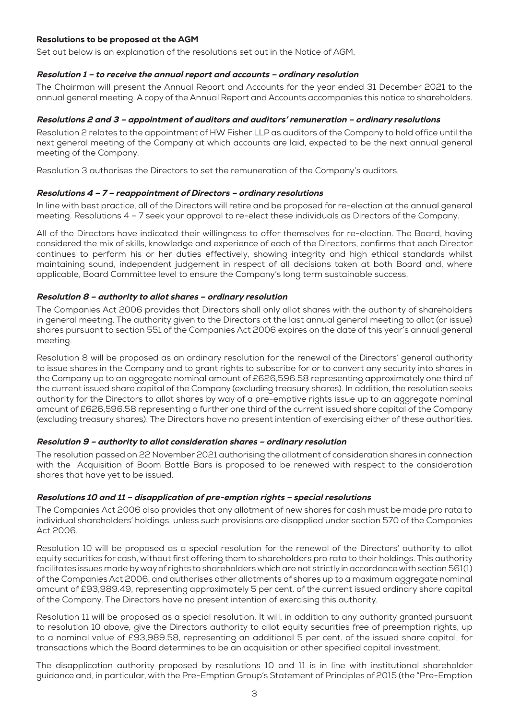#### Resolutions to be proposed at the AGM

Set out below is an explanation of the resolutions set out in the Notice of AGM.

## Resolution 1 – to receive the annual report and accounts – ordinary resolution

The Chairman will present the Annual Report and Accounts for the year ended 31 December 2021 to the annual general meeting. A copy of the Annual Report and Accounts accompanies this notice to shareholders.

## Resolutions 2 and 3 – appointment of auditors and auditors' remuneration – ordinary resolutions

Resolution 2 relates to the appointment of HW Fisher LLP as auditors of the Company to hold office until the next general meeting of the Company at which accounts are laid, expected to be the next annual general meeting of the Company.

Resolution 3 authorises the Directors to set the remuneration of the Company's auditors.

#### Resolutions 4 – 7 – reappointment of Directors – ordinary resolutions

In line with best practice, all of the Directors will retire and be proposed for re-election at the annual general meeting. Resolutions 4 – 7 seek your approval to re-elect these individuals as Directors of the Company.

All of the Directors have indicated their willingness to offer themselves for re-election. The Board, having considered the mix of skills, knowledge and experience of each of the Directors, confirms that each Director continues to perform his or her duties effectively, showing integrity and high ethical standards whilst maintaining sound, independent judgement in respect of all decisions taken at both Board and, where applicable, Board Committee level to ensure the Company's long term sustainable success.

## Resolution 8 – authority to allot shares – ordinary resolution

The Companies Act 2006 provides that Directors shall only allot shares with the authority of shareholders in general meeting. The authority given to the Directors at the last annual general meeting to allot (or issue) shares pursuant to section 551 of the Companies Act 2006 expires on the date of this year's annual general meeting.

Resolution 8 will be proposed as an ordinary resolution for the renewal of the Directors' general authority to issue shares in the Company and to grant rights to subscribe for or to convert any security into shares in the Company up to an aggregate nominal amount of £626,596.58 representing approximately one third of the current issued share capital of the Company (excluding treasury shares). In addition, the resolution seeks authority for the Directors to allot shares by way of a pre-emptive rights issue up to an aggregate nominal amount of £626,596.58 representing a further one third of the current issued share capital of the Company (excluding treasury shares). The Directors have no present intention of exercising either of these authorities.

#### Resolution 9 – authority to allot consideration shares – ordinary resolution

The resolution passed on 22 November 2021 authorising the allotment of consideration shares in connection with the Acquisition of Boom Battle Bars is proposed to be renewed with respect to the consideration shares that have yet to be issued.

#### Resolutions 10 and 11 – disapplication of pre-emption rights – special resolutions

The Companies Act 2006 also provides that any allotment of new shares for cash must be made pro rata to individual shareholders' holdings, unless such provisions are disapplied under section 570 of the Companies Act 2006.

Resolution 10 will be proposed as a special resolution for the renewal of the Directors' authority to allot equity securities for cash, without first offering them to shareholders pro rata to their holdings. This authority facilitates issues made by way of rights to shareholders which are not strictly in accordance with section 561(1) of the Companies Act 2006, and authorises other allotments of shares up to a maximum aggregate nominal amount of £93,989.49, representing approximately 5 per cent. of the current issued ordinary share capital of the Company. The Directors have no present intention of exercising this authority.

Resolution 11 will be proposed as a special resolution. It will, in addition to any authority granted pursuant to resolution 10 above, give the Directors authority to allot equity securities free of preemption rights, up to a nominal value of £93,989.58, representing an additional 5 per cent. of the issued share capital, for transactions which the Board determines to be an acquisition or other specified capital investment.

The disapplication authority proposed by resolutions 10 and 11 is in line with institutional shareholder guidance and, in particular, with the Pre-Emption Group's Statement of Principles of 2015 (the "Pre-Emption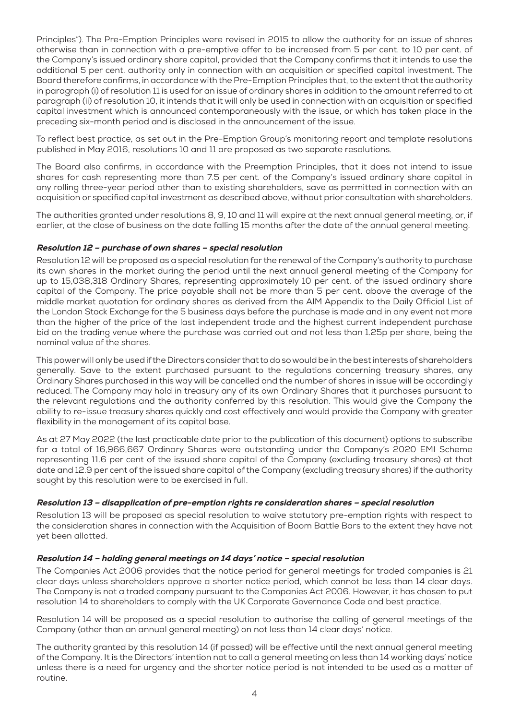Principles"). The Pre-Emption Principles were revised in 2015 to allow the authority for an issue of shares otherwise than in connection with a pre-emptive offer to be increased from 5 per cent. to 10 per cent. of the Company's issued ordinary share capital, provided that the Company confirms that it intends to use the additional 5 per cent. authority only in connection with an acquisition or specified capital investment. The Board therefore confirms, in accordance with the Pre-Emption Principles that, to the extent that the authority in paragraph (i) of resolution 11 is used for an issue of ordinary shares in addition to the amount referred to at paragraph (ii) of resolution 10, it intends that it will only be used in connection with an acquisition or specified capital investment which is announced contemporaneously with the issue, or which has taken place in the preceding six-month period and is disclosed in the announcement of the issue.

To reflect best practice, as set out in the Pre-Emption Group's monitoring report and template resolutions published in May 2016, resolutions 10 and 11 are proposed as two separate resolutions.

The Board also confirms, in accordance with the Preemption Principles, that it does not intend to issue shares for cash representing more than 7.5 per cent. of the Company's issued ordinary share capital in any rolling three-year period other than to existing shareholders, save as permitted in connection with an acquisition or specified capital investment as described above, without prior consultation with shareholders.

The authorities granted under resolutions 8, 9, 10 and 11 will expire at the next annual general meeting, or, if earlier, at the close of business on the date falling 15 months after the date of the annual general meeting.

#### Resolution 12 – purchase of own shares – special resolution

Resolution 12 will be proposed as a special resolution for the renewal of the Company's authority to purchase its own shares in the market during the period until the next annual general meeting of the Company for up to 15,038,318 Ordinary Shares, representing approximately 10 per cent. of the issued ordinary share capital of the Company. The price payable shall not be more than 5 per cent. above the average of the middle market quotation for ordinary shares as derived from the AIM Appendix to the Daily Official List of the London Stock Exchange for the 5 business days before the purchase is made and in any event not more than the higher of the price of the last independent trade and the highest current independent purchase bid on the trading venue where the purchase was carried out and not less than 1.25p per share, being the nominal value of the shares.

This power will only be used if the Directors consider that to do so would be in the best interests of shareholders generally. Save to the extent purchased pursuant to the regulations concerning treasury shares, any Ordinary Shares purchased in this way will be cancelled and the number of shares in issue will be accordingly reduced. The Company may hold in treasury any of its own Ordinary Shares that it purchases pursuant to the relevant regulations and the authority conferred by this resolution. This would give the Company the ability to re-issue treasury shares quickly and cost effectively and would provide the Company with greater flexibility in the management of its capital base.

As at 27 May 2022 (the last practicable date prior to the publication of this document) options to subscribe for a total of 16,966,667 Ordinary Shares were outstanding under the Company's 2020 EMI Scheme representing 11.6 per cent of the issued share capital of the Company (excluding treasury shares) at that date and 12.9 per cent of the issued share capital of the Company (excluding treasury shares) if the authority sought by this resolution were to be exercised in full.

#### Resolution 13 – disapplication of pre-emption rights re consideration shares – special resolution

Resolution 13 will be proposed as special resolution to waive statutory pre-emption rights with respect to the consideration shares in connection with the Acquisition of Boom Battle Bars to the extent they have not yet been allotted.

#### Resolution 14 – holding general meetings on 14 days' notice – special resolution

The Companies Act 2006 provides that the notice period for general meetings for traded companies is 21 clear days unless shareholders approve a shorter notice period, which cannot be less than 14 clear days. The Company is not a traded company pursuant to the Companies Act 2006. However, it has chosen to put resolution 14 to shareholders to comply with the UK Corporate Governance Code and best practice.

Resolution 14 will be proposed as a special resolution to authorise the calling of general meetings of the Company (other than an annual general meeting) on not less than 14 clear days' notice.

The authority granted by this resolution 14 (if passed) will be effective until the next annual general meeting of the Company. It is the Directors' intention not to call a general meeting on less than 14 working days' notice unless there is a need for urgency and the shorter notice period is not intended to be used as a matter of routine.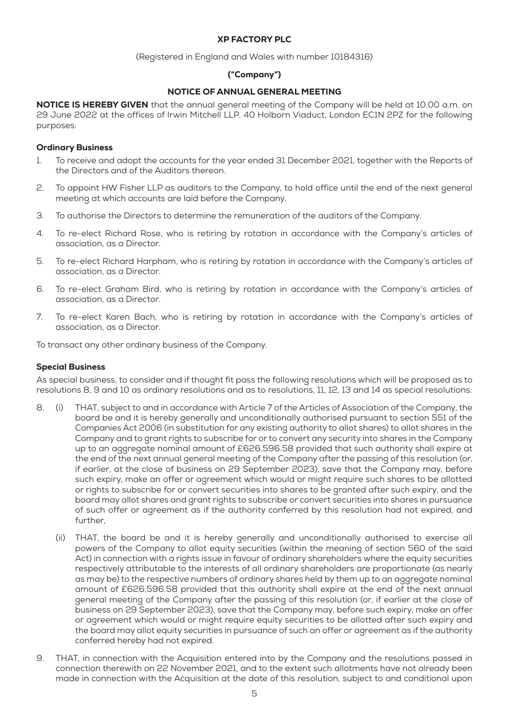## XP FACTORY PLC

(Registered in England and Wales with number 10184316)

# ("Company")

## NOTICE OF ANNUAL GENERAL MEETING

NOTICE IS HEREBY GIVEN that the annual general meeting of the Company will be held at 10.00 a.m. on 29 June 2022 at the offices of Irwin Mitchell LLP, 40 Holborn Viaduct, London EC1N 2PZ for the following purposes:

## Ordinary Business

- 1. To receive and adopt the accounts for the year ended 31 December 2021, together with the Reports of the Directors and of the Auditors thereon.
- 2. To appoint HW Fisher LLP as auditors to the Company, to hold office until the end of the next general meeting at which accounts are laid before the Company.
- 3. To authorise the Directors to determine the remuneration of the auditors of the Company.
- 4. To re-elect Richard Rose, who is retiring by rotation in accordance with the Company's articles of association, as a Director.
- 5. To re-elect Richard Harpham, who is retiring by rotation in accordance with the Company's articles of association, as a Director.
- 6. To re-elect Graham Bird, who is retiring by rotation in accordance with the Company's articles of association, as a Director.
- 7. To re-elect Karen Bach, who is retiring by rotation in accordance with the Company's articles of association, as a Director.

To transact any other ordinary business of the Company.

# Special Business

As special business, to consider and if thought fit pass the following resolutions which will be proposed as to resolutions 8, 9 and 10 as ordinary resolutions and as to resolutions, 11, 12, 13 and 14 as special resolutions:

- 8. (i) THAT, subject to and in accordance with Article 7 of the Articles of Association of the Company, the board be and it is hereby generally and unconditionally authorised pursuant to section 551 of the Companies Act 2006 (in substitution for any existing authority to allot shares) to allot shares in the Company and to grant rights to subscribe for or to convert any security into shares in the Company up to an aggregate nominal amount of £626,596.58 provided that such authority shall expire at the end of the next annual general meeting of the Company after the passing of this resolution (or, if earlier, at the close of business on 29 September 2023), save that the Company may, before such expiry, make an offer or agreement which would or might require such shares to be allotted or rights to subscribe for or convert securities into shares to be granted after such expiry, and the board may allot shares and grant rights to subscribe or convert securities into shares in pursuance of such offer or agreement as if the authority conferred by this resolution had not expired, and further,
	- (ii) THAT, the board be and it is hereby generally and unconditionally authorised to exercise all powers of the Company to allot equity securities (within the meaning of section 560 of the said Act) in connection with a rights issue in favour of ordinary shareholders where the equity securities respectively attributable to the interests of all ordinary shareholders are proportionate (as nearly as may be) to the respective numbers of ordinary shares held by them up to an aggregate nominal amount of £626,596.58 provided that this authority shall expire at the end of the next annual general meeting of the Company after the passing of this resolution (or, if earlier at the close of business on 29 September 2023), save that the Company may, before such expiry, make an offer or agreement which would or might require equity securities to be allotted after such expiry and the board may allot equity securities in pursuance of such an offer or agreement as if the authority conferred hereby had not expired.
- 9. THAT, in connection with the Acquisition entered into by the Company and the resolutions passed in connection therewith on 22 November 2021, and to the extent such allotments have not already been made in connection with the Acquisition at the date of this resolution, subject to and conditional upon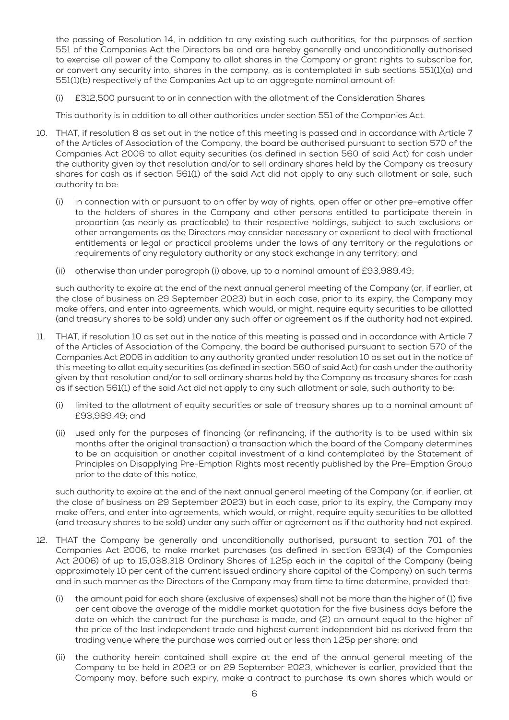the passing of Resolution 14, in addition to any existing such authorities, for the purposes of section 551 of the Companies Act the Directors be and are hereby generally and unconditionally authorised to exercise all power of the Company to allot shares in the Company or grant rights to subscribe for, or convert any security into, shares in the company, as is contemplated in sub sections 551(1)(a) and 551(1)(b) respectively of the Companies Act up to an aggregate nominal amount of:

£312,500 pursuant to or in connection with the allotment of the Consideration Shares

This authority is in addition to all other authorities under section 551 of the Companies Act.

- 10. THAT, if resolution 8 as set out in the notice of this meeting is passed and in accordance with Article 7 of the Articles of Association of the Company, the board be authorised pursuant to section 570 of the Companies Act 2006 to allot equity securities (as defined in section 560 of said Act) for cash under the authority given by that resolution and/or to sell ordinary shares held by the Company as treasury shares for cash as if section 561(1) of the said Act did not apply to any such allotment or sale, such authority to be:
	- (i) in connection with or pursuant to an offer by way of rights, open offer or other pre-emptive offer to the holders of shares in the Company and other persons entitled to participate therein in proportion (as nearly as practicable) to their respective holdings, subject to such exclusions or other arrangements as the Directors may consider necessary or expedient to deal with fractional entitlements or legal or practical problems under the laws of any territory or the regulations or requirements of any regulatory authority or any stock exchange in any territory; and
	- (ii) otherwise than under paragraph (i) above, up to a nominal amount of £93,989.49;

such authority to expire at the end of the next annual general meeting of the Company (or, if earlier, at the close of business on 29 September 2023) but in each case, prior to its expiry, the Company may make offers, and enter into agreements, which would, or might, require equity securities to be allotted (and treasury shares to be sold) under any such offer or agreement as if the authority had not expired.

- 11. THAT, if resolution 10 as set out in the notice of this meeting is passed and in accordance with Article 7 of the Articles of Association of the Company, the board be authorised pursuant to section 570 of the Companies Act 2006 in addition to any authority granted under resolution 10 as set out in the notice of this meeting to allot equity securities (as defined in section 560 of said Act) for cash under the authority given by that resolution and/or to sell ordinary shares held by the Company as treasury shares for cash as if section 561(1) of the said Act did not apply to any such allotment or sale, such authority to be:
	- (i) limited to the allotment of equity securities or sale of treasury shares up to a nominal amount of £93,989.49; and
	- (ii) used only for the purposes of financing (or refinancing, if the authority is to be used within six months after the original transaction) a transaction which the board of the Company determines to be an acquisition or another capital investment of a kind contemplated by the Statement of Principles on Disapplying Pre-Emption Rights most recently published by the Pre-Emption Group prior to the date of this notice,

such authority to expire at the end of the next annual general meeting of the Company (or, if earlier, at the close of business on 29 September 2023) but in each case, prior to its expiry, the Company may make offers, and enter into agreements, which would, or might, require equity securities to be allotted (and treasury shares to be sold) under any such offer or agreement as if the authority had not expired.

- 12. THAT the Company be generally and unconditionally authorised, pursuant to section 701 of the Companies Act 2006, to make market purchases (as defined in section 693(4) of the Companies Act 2006) of up to 15,038,318 Ordinary Shares of 1.25p each in the capital of the Company (being approximately 10 per cent of the current issued ordinary share capital of the Company) on such terms and in such manner as the Directors of the Company may from time to time determine, provided that:
	- (i) the amount paid for each share (exclusive of expenses) shall not be more than the higher of (1) five per cent above the average of the middle market quotation for the five business days before the date on which the contract for the purchase is made, and (2) an amount equal to the higher of the price of the last independent trade and highest current independent bid as derived from the trading venue where the purchase was carried out or less than 1.25p per share; and
	- (ii) the authority herein contained shall expire at the end of the annual general meeting of the Company to be held in 2023 or on 29 September 2023, whichever is earlier, provided that the Company may, before such expiry, make a contract to purchase its own shares which would or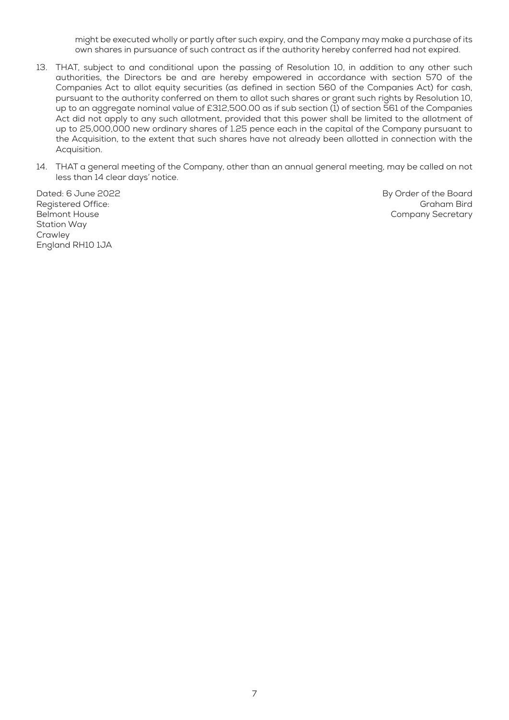might be executed wholly or partly after such expiry, and the Company may make a purchase of its own shares in pursuance of such contract as if the authority hereby conferred had not expired.

- 13. THAT, subject to and conditional upon the passing of Resolution 10, in addition to any other such authorities, the Directors be and are hereby empowered in accordance with section 570 of the Companies Act to allot equity securities (as defined in section 560 of the Companies Act) for cash, pursuant to the authority conferred on them to allot such shares or grant such rights by Resolution 10, up to an aggregate nominal value of £312,500.00 as if sub section (1) of section 561 of the Companies Act did not apply to any such allotment, provided that this power shall be limited to the allotment of up to 25,000,000 new ordinary shares of 1.25 pence each in the capital of the Company pursuant to the Acquisition, to the extent that such shares have not already been allotted in connection with the Acquisition.
- 14. THAT a general meeting of the Company, other than an annual general meeting, may be called on not less than 14 clear days' notice.

Dated: 6 June 2022 Registered Office: Belmont House Station Way **Crawley** England RH10 1JA

By Order of the Board Graham Bird Company Secretary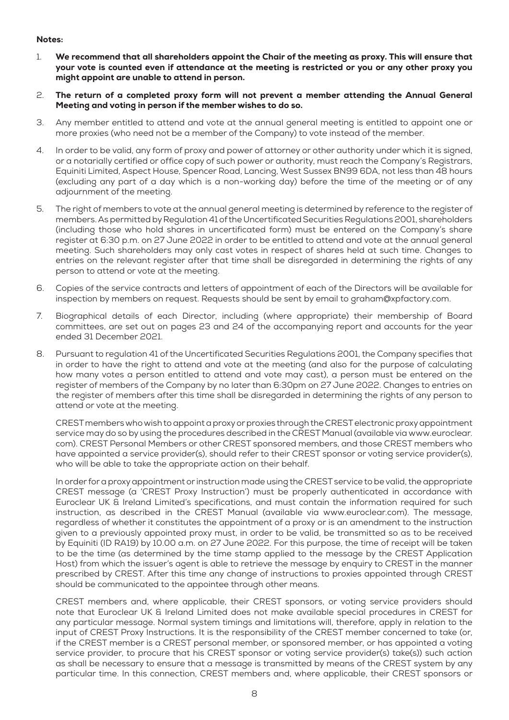#### Notes:

- 1. We recommend that all shareholders appoint the Chair of the meeting as proxy. This will ensure that your vote is counted even if attendance at the meeting is restricted or you or any other proxy you might appoint are unable to attend in person.
- 2. The return of a completed proxy form will not prevent a member attending the Annual General Meeting and voting in person if the member wishes to do so.
- 3. Any member entitled to attend and vote at the annual general meeting is entitled to appoint one or more proxies (who need not be a member of the Company) to vote instead of the member.
- 4. In order to be valid, any form of proxy and power of attorney or other authority under which it is signed, or a notarially certified or office copy of such power or authority, must reach the Company's Registrars, Equiniti Limited, Aspect House, Spencer Road, Lancing, West Sussex BN99 6DA, not less than 48 hours (excluding any part of a day which is a non-working day) before the time of the meeting or of any adjournment of the meeting.
- 5. The right of members to vote at the annual general meeting is determined by reference to the register of members. As permitted by Regulation 41 of the Uncertificated Securities Regulations 2001, shareholders (including those who hold shares in uncertificated form) must be entered on the Company's share register at 6:30 p.m. on 27 June 2022 in order to be entitled to attend and vote at the annual general meeting. Such shareholders may only cast votes in respect of shares held at such time. Changes to entries on the relevant register after that time shall be disregarded in determining the rights of any person to attend or vote at the meeting.
- 6. Copies of the service contracts and letters of appointment of each of the Directors will be available for inspection by members on request. Requests should be sent by email to graham@xpfactory.com.
- 7. Biographical details of each Director, including (where appropriate) their membership of Board committees, are set out on pages 23 and 24 of the accompanying report and accounts for the year ended 31 December 2021.
- 8. Pursuant to regulation 41 of the Uncertificated Securities Regulations 2001, the Company specifies that in order to have the right to attend and vote at the meeting (and also for the purpose of calculating how many votes a person entitled to attend and vote may cast), a person must be entered on the register of members of the Company by no later than 6:30pm on 27 June 2022. Changes to entries on the register of members after this time shall be disregarded in determining the rights of any person to attend or vote at the meeting.

CREST members who wish to appoint a proxy or proxies through the CREST electronic proxy appointment service may do so by using the procedures described in the CREST Manual (available via www.euroclear. com). CREST Personal Members or other CREST sponsored members, and those CREST members who have appointed a service provider(s), should refer to their CREST sponsor or voting service provider(s), who will be able to take the appropriate action on their behalf.

In order for a proxy appointment or instruction made using the CREST service to be valid, the appropriate CREST message (a 'CREST Proxy Instruction') must be properly authenticated in accordance with Euroclear UK & Ireland Limited's specifications, and must contain the information required for such instruction, as described in the CREST Manual (available via www.euroclear.com). The message, regardless of whether it constitutes the appointment of a proxy or is an amendment to the instruction given to a previously appointed proxy must, in order to be valid, be transmitted so as to be received by Equiniti (ID RA19) by 10.00 a.m. on 27 June 2022. For this purpose, the time of receipt will be taken to be the time (as determined by the time stamp applied to the message by the CREST Application Host) from which the issuer's agent is able to retrieve the message by enquiry to CREST in the manner prescribed by CREST. After this time any change of instructions to proxies appointed through CREST should be communicated to the appointee through other means.

CREST members and, where applicable, their CREST sponsors, or voting service providers should note that Euroclear UK & Ireland Limited does not make available special procedures in CREST for any particular message. Normal system timings and limitations will, therefore, apply in relation to the input of CREST Proxy Instructions. It is the responsibility of the CREST member concerned to take (or, if the CREST member is a CREST personal member, or sponsored member, or has appointed a voting service provider, to procure that his CREST sponsor or voting service provider(s) take(s)) such action as shall be necessary to ensure that a message is transmitted by means of the CREST system by any particular time. In this connection, CREST members and, where applicable, their CREST sponsors or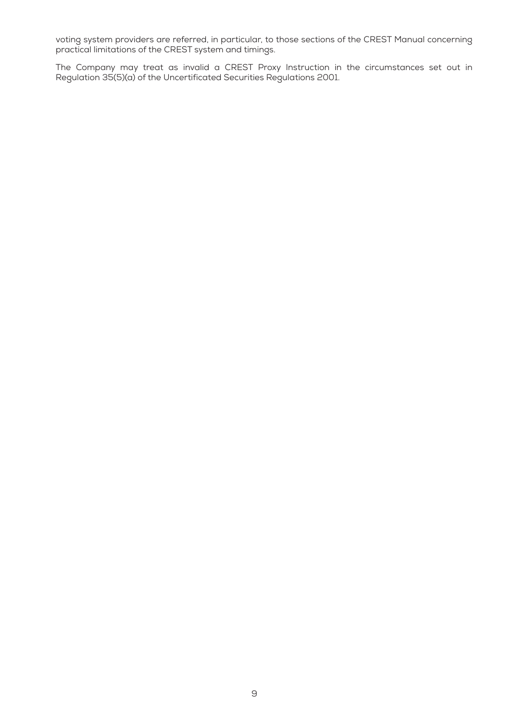voting system providers are referred, in particular, to those sections of the CREST Manual concerning practical limitations of the CREST system and timings.

The Company may treat as invalid a CREST Proxy Instruction in the circumstances set out in Regulation 35(5)(a) of the Uncertificated Securities Regulations 2001.